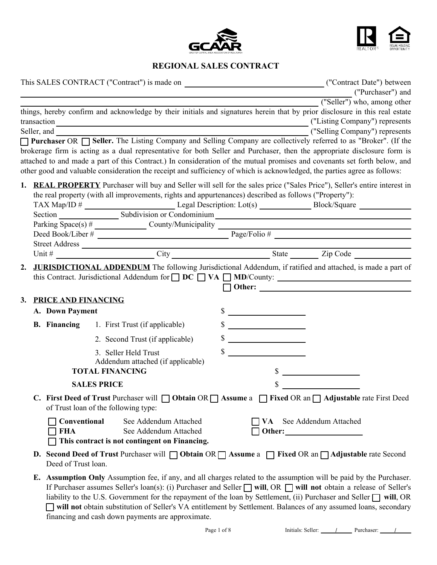



# **REGIONAL SALES CONTRACT**

|                    |                                                                                                                                                        |              |                                                                                                                           |              |                             | ("Purchaser") and<br>("Seller") who, among other                                                                                                                                                                                                                                                                                                                                                                                                                                                                                                 |
|--------------------|--------------------------------------------------------------------------------------------------------------------------------------------------------|--------------|---------------------------------------------------------------------------------------------------------------------------|--------------|-----------------------------|--------------------------------------------------------------------------------------------------------------------------------------------------------------------------------------------------------------------------------------------------------------------------------------------------------------------------------------------------------------------------------------------------------------------------------------------------------------------------------------------------------------------------------------------------|
|                    |                                                                                                                                                        |              | other good and valuable consideration the receipt and sufficiency of which is acknowledged, the parties agree as follows: |              |                             | things, hereby confirm and acknowledge by their initials and signatures herein that by prior disclosure in this real estate<br>("Selling Company") represents<br>Purchaser OR <b>Seller</b> . The Listing Company and Selling Company are collectively referred to as "Broker". (If the<br>brokerage firm is acting as a dual representative for both Seller and Purchaser, then the appropriate disclosure form is<br>attached to and made a part of this Contract.) In consideration of the mutual promises and covenants set forth below, and |
|                    |                                                                                                                                                        |              | the real property (with all improvements, rights and appurtenances) described as follows ("Property"):                    |              |                             | <b>1. REAL PROPERTY</b> Purchaser will buy and Seller will sell for the sales price ("Sales Price"), Seller's entire interest in<br>Parking $\overline{Space(s) \#$ County/Municipality $\overline{Page/Folio \# \_}$<br>Deed Book/Liber #                                                                                                                                                                                                                                                                                                       |
|                    |                                                                                                                                                        |              |                                                                                                                           |              |                             |                                                                                                                                                                                                                                                                                                                                                                                                                                                                                                                                                  |
| 2.                 |                                                                                                                                                        |              |                                                                                                                           |              |                             | <b>JURISDICTIONAL ADDENDUM</b> The following Jurisdictional Addendum, if ratified and attached, is made a part of                                                                                                                                                                                                                                                                                                                                                                                                                                |
| 3.                 | <b>PRICE AND FINANCING</b>                                                                                                                             |              |                                                                                                                           |              |                             |                                                                                                                                                                                                                                                                                                                                                                                                                                                                                                                                                  |
|                    | A. Down Payment                                                                                                                                        |              |                                                                                                                           | $\mathbb{S}$ |                             |                                                                                                                                                                                                                                                                                                                                                                                                                                                                                                                                                  |
|                    |                                                                                                                                                        |              | <b>B. Financing</b> 1. First Trust (if applicable)                                                                        |              | $\sim$                      |                                                                                                                                                                                                                                                                                                                                                                                                                                                                                                                                                  |
|                    |                                                                                                                                                        |              | 2. Second Trust (if applicable)                                                                                           |              | $\frac{\text{S}}{\text{S}}$ |                                                                                                                                                                                                                                                                                                                                                                                                                                                                                                                                                  |
|                    |                                                                                                                                                        |              | 3. Seller Held Trust<br>Addendum attached (if applicable)                                                                 |              |                             |                                                                                                                                                                                                                                                                                                                                                                                                                                                                                                                                                  |
|                    |                                                                                                                                                        |              | <b>TOTAL FINANCING</b>                                                                                                    |              |                             |                                                                                                                                                                                                                                                                                                                                                                                                                                                                                                                                                  |
| <b>SALES PRICE</b> |                                                                                                                                                        |              |                                                                                                                           |              |                             |                                                                                                                                                                                                                                                                                                                                                                                                                                                                                                                                                  |
|                    |                                                                                                                                                        |              | of Trust loan of the following type:                                                                                      |              |                             | C. First Deed of Trust Purchaser will □ Obtain OR □ Assume a □ Fixed OR an □ Adjustable rate First Deed                                                                                                                                                                                                                                                                                                                                                                                                                                          |
|                    | <b>FHA</b>                                                                                                                                             | Conventional | See Addendum Attached<br>See Addendum Attached<br>This contract is not contingent on Financing.                           |              |                             | VA See Addendum Attached                                                                                                                                                                                                                                                                                                                                                                                                                                                                                                                         |
|                    | <b>D.</b> Second Deed of Trust Purchaser will $\Box$ Obtain OR $\Box$ Assume a $\Box$ Fixed OR an $\Box$ Adjustable rate Second<br>Deed of Trust loan. |              |                                                                                                                           |              |                             |                                                                                                                                                                                                                                                                                                                                                                                                                                                                                                                                                  |
|                    |                                                                                                                                                        |              |                                                                                                                           |              |                             | <b>E.</b> Assumption Only Assumption fee, if any, and all charges related to the assumption will be paid by the Purchaser.<br>If Purchaser assumes Seller's loan(s): (i) Purchaser and Seller □ will, OR □ will not obtain a release of Seller's<br>lightlity to the U.S. Coverage for the repayment of the leap by Settlement (ii) Dyrehoger and Seller $\Box$ will OD                                                                                                                                                                          |

liability to the U.S. Government for the repayment of the loan by Settlement, (ii) Purchaser and Seller  $\Box$  will, OR **will not** obtain substitution of Seller's VA entitlement by Settlement. Balances of any assumed loans, secondary financing and cash down payments are approximate.

Page 1 of 8 Initials: Seller: <u>/ J</u> Purchaser: <u>/ J</u>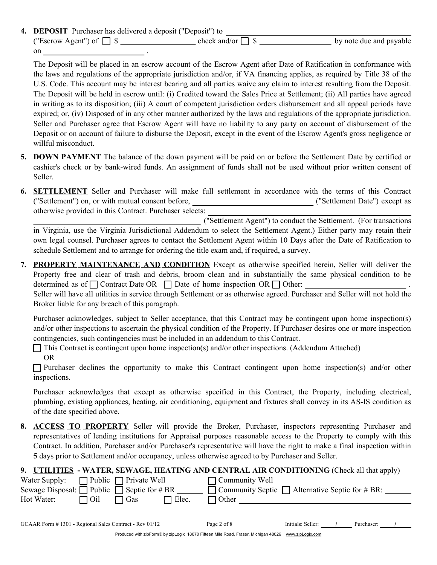**4. DEPOSIT** Purchaser has delivered a deposit ("Deposit") to ("Escrow Agent") of \$ check and/or \$ by note due and payable on ...

The Deposit will be placed in an escrow account of the Escrow Agent after Date of Ratification in conformance with the laws and regulations of the appropriate jurisdiction and/or, if VA financing applies, as required by Title 38 of the U.S. Code. This account may be interest bearing and all parties waive any claim to interest resulting from the Deposit. The Deposit will be held in escrow until: (i) Credited toward the Sales Price at Settlement; (ii) All parties have agreed in writing as to its disposition; (iii) A court of competent jurisdiction orders disbursement and all appeal periods have expired; or, (iv) Disposed of in any other manner authorized by the laws and regulations of the appropriate jurisdiction. Seller and Purchaser agree that Escrow Agent will have no liability to any party on account of disbursement of the Deposit or on account of failure to disburse the Deposit, except in the event of the Escrow Agent's gross negligence or willful misconduct.

- **5. DOWN PAYMENT** The balance of the down payment will be paid on or before the Settlement Date by certified or cashier's check or by bank-wired funds. An assignment of funds shall not be used without prior written consent of Seller.
- **6. SETTLEMENT** Seller and Purchaser will make full settlement in accordance with the terms of this Contract ("Settlement") on, or with mutual consent before, \_\_\_\_\_\_\_\_\_\_\_\_\_\_\_\_\_\_\_\_\_\_\_\_\_\_\_\_\_\_\_("Settlement Date") except as otherwise provided in this Contract. Purchaser selects:

("Settlement Agent") to conduct the Settlement. (For transactions in Virginia, use the Virginia Jurisdictional Addendum to select the Settlement Agent.) Either party may retain their own legal counsel. Purchaser agrees to contact the Settlement Agent within 10 Days after the Date of Ratification to schedule Settlement and to arrange for ordering the title exam and, if required, a survey.

**7. PROPERTY MAINTENANCE AND CONDITION** Except as otherwise specified herein, Seller will deliver the Property free and clear of trash and debris, broom clean and in substantially the same physical condition to be determined as of  $\Box$  Contract Date OR  $\Box$  Date of home inspection OR  $\Box$  Other: Seller will have all utilities in service through Settlement or as otherwise agreed. Purchaser and Seller will not hold the

Broker liable for any breach of this paragraph.

Purchaser acknowledges, subject to Seller acceptance, that this Contract may be contingent upon home inspection(s) and/or other inspections to ascertain the physical condition of the Property. If Purchaser desires one or more inspection contingencies, such contingencies must be included in an addendum to this Contract.

 $\Box$  This Contract is contingent upon home inspection(s) and/or other inspections. (Addendum Attached)

OR

 $\Box$  Purchaser declines the opportunity to make this Contract contingent upon home inspection(s) and/or other inspections.

Purchaser acknowledges that except as otherwise specified in this Contract, the Property, including electrical, plumbing, existing appliances, heating, air conditioning, equipment and fixtures shall convey in its AS-IS condition as of the date specified above.

**ACCESS TO PROPERTY** Seller will provide the Broker, Purchaser, inspectors representing Purchaser and **8.** representatives of lending institutions for Appraisal purposes reasonable access to the Property to comply with this Contract. In addition, Purchaser and/or Purchaser's representative will have the right to make a final inspection within **5** days prior to Settlement and/or occupancy, unless otherwise agreed to by Purchaser and Seller.

| 9. UTILITIES - WATER, SEWAGE, HEATING AND CENTRAL AIR CONDITIONING (Check all that apply)              |                                   |                                                                                      |                   |            |
|--------------------------------------------------------------------------------------------------------|-----------------------------------|--------------------------------------------------------------------------------------|-------------------|------------|
| Water Supply:<br>Sewage Disposal: $\Box$ Public $\Box$ Septic for # BR                                 | $\Box$ Public $\Box$ Private Well | $\Box$ Community Well<br>$\Box$ Community Septic $\Box$ Alternative Septic for # BR: |                   |            |
| Hot Water:<br>∃ Oil                                                                                    | $\exists$ Elec.<br>⊤ Gas          | $\Box$ Other                                                                         |                   |            |
| GCAAR Form #1301 - Regional Sales Contract - Rev 01/12                                                 |                                   | Page 2 of 8                                                                          | Initials: Seller: | Purchaser: |
| Produced with zipForm® by zipLogix 18070 Fifteen Mile Road, Fraser, Michigan 48026<br>www.zipLogix.com |                                   |                                                                                      |                   |            |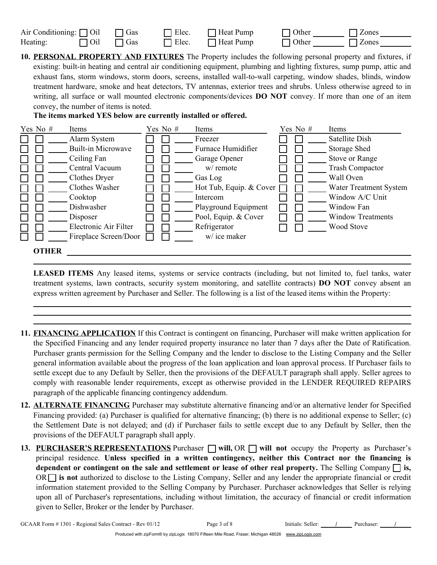| Air Conditioning: $\Box$ Oil $\Box$ Gas |                       | $\Box$ Elec. | $\Box$ Heat Pump | $\Box$ Other | <b>Zones</b> |
|-----------------------------------------|-----------------------|--------------|------------------|--------------|--------------|
| Heating:                                | $\Box$ Oil $\Box$ Gas | $\Box$ Elec. | $\Box$ Heat Pump | $\Box$ Other | <b>Zones</b> |

**10. PERSONAL PROPERTY AND FIXTURES** The Property includes the following personal property and fixtures, if existing: built-in heating and central air conditioning equipment, plumbing and lighting fixtures, sump pump, attic and exhaust fans, storm windows, storm doors, screens, installed wall-to-wall carpeting, window shades, blinds, window treatment hardware, smoke and heat detectors, TV antennas, exterior trees and shrubs. Unless otherwise agreed to in writing, all surface or wall mounted electronic components/devices **DO NOT** convey. If more than one of an item convey, the number of items is noted.



| Yes No $#$   | Items                     | Yes No # | Items                   | Yes No $#$ | Items                         |
|--------------|---------------------------|----------|-------------------------|------------|-------------------------------|
|              | Alarm System              |          | Freezer                 |            | Satellite Dish                |
|              | <b>Built-in Microwave</b> |          | Furnace Humidifier      |            | Storage Shed                  |
|              | Ceiling Fan               |          | Garage Opener           |            | Stove or Range                |
|              | Central Vacuum            |          | w/ remote               |            | <b>Trash Compactor</b>        |
|              | Clothes Dryer             |          | Gas Log                 |            | Wall Oven                     |
|              | Clothes Washer            |          | Hot Tub, Equip. & Cover |            | <b>Water Treatment System</b> |
|              | Cooktop                   |          | Intercom                |            | Window A/C Unit               |
|              | Dishwasher                |          | Playground Equipment    |            | Window Fan                    |
|              | Disposer                  |          | Pool, Equip. & Cover    |            | <b>Window Treatments</b>      |
|              | Electronic Air Filter     |          | Refrigerator            |            | <b>Wood Stove</b>             |
|              | Fireplace Screen/Door     |          | w/ ice maker            |            |                               |
| <b>OTHER</b> |                           |          |                         |            |                               |

**LEASED ITEMS** Any leased items, systems or service contracts (including, but not limited to, fuel tanks, water treatment systems, lawn contracts, security system monitoring, and satellite contracts) **DO NOT** convey absent an express written agreement by Purchaser and Seller. The following is a list of the leased items within the Property:

- **11. FINANCING APPLICATION** If this Contract is contingent on financing, Purchaser will make written application for the Specified Financing and any lender required property insurance no later than 7 days after the Date of Ratification. Purchaser grants permission for the Selling Company and the lender to disclose to the Listing Company and the Seller general information available about the progress of the loan application and loan approval process. If Purchaser fails to settle except due to any Default by Seller, then the provisions of the DEFAULT paragraph shall apply. Seller agrees to comply with reasonable lender requirements, except as otherwise provided in the LENDER REQUIRED REPAIRS paragraph of the applicable financing contingency addendum.
- **12. ALTERNATE FINANCING** Purchaser may substitute alternative financing and/or an alternative lender for Specified Financing provided: (a) Purchaser is qualified for alternative financing; (b) there is no additional expense to Seller; (c) the Settlement Date is not delayed; and (d) if Purchaser fails to settle except due to any Default by Seller, then the provisions of the DEFAULT paragraph shall apply.
- 13. **PURCHASER'S REPRESENTATIONS** Purchaser  $\Box$  will, OR  $\Box$  will not occupy the Property as Purchaser's principal residence. **Unless specified in a written contingency, neither this Contract nor the financing is dependent or contingent on the sale and settlement or lease of other real property.** The Selling Company **is,** OR **is not** authorized to disclose to the Listing Company, Seller and any lender the appropriate financial or credit information statement provided to the Selling Company by Purchaser. Purchaser acknowledges that Seller is relying upon all of Purchaser's representations, including without limitation, the accuracy of financial or credit information given to Seller, Broker or the lender by Purchaser.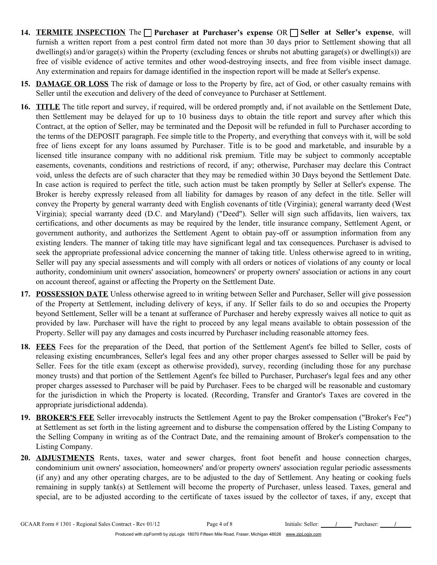- **14. TERMITE INSPECTION** The **Purchaser at Purchaser's expense** OR **Seller at Seller's expense**, will furnish a written report from a pest control firm dated not more than 30 days prior to Settlement showing that all dwelling(s) and/or garage(s) within the Property (excluding fences or shrubs not abutting garage(s) or dwelling(s)) are free of visible evidence of active termites and other wood-destroying insects, and free from visible insect damage. Any extermination and repairs for damage identified in the inspection report will be made at Seller's expense.
- **15. DAMAGE OR LOSS** The risk of damage or loss to the Property by fire, act of God, or other casualty remains with Seller until the execution and delivery of the deed of conveyance to Purchaser at Settlement.
- **16. TITLE** The title report and survey, if required, will be ordered promptly and, if not available on the Settlement Date, then Settlement may be delayed for up to 10 business days to obtain the title report and survey after which this Contract, at the option of Seller, may be terminated and the Deposit will be refunded in full to Purchaser according to the terms of the DEPOSIT paragraph. Fee simple title to the Property, and everything that conveys with it, will be sold free of liens except for any loans assumed by Purchaser. Title is to be good and marketable, and insurable by a licensed title insurance company with no additional risk premium. Title may be subject to commonly acceptable easements, covenants, conditions and restrictions of record, if any; otherwise, Purchaser may declare this Contract void, unless the defects are of such character that they may be remedied within 30 Days beyond the Settlement Date. In case action is required to perfect the title, such action must be taken promptly by Seller at Seller's expense. The Broker is hereby expressly released from all liability for damages by reason of any defect in the title. Seller will convey the Property by general warranty deed with English covenants of title (Virginia); general warranty deed (West Virginia); special warranty deed (D.C. and Maryland) ("Deed"). Seller will sign such affidavits, lien waivers, tax certifications, and other documents as may be required by the lender, title insurance company, Settlement Agent, or government authority, and authorizes the Settlement Agent to obtain pay-off or assumption information from any existing lenders. The manner of taking title may have significant legal and tax consequences. Purchaser is advised to seek the appropriate professional advice concerning the manner of taking title. Unless otherwise agreed to in writing, Seller will pay any special assessments and will comply with all orders or notices of violations of any county or local authority, condominium unit owners' association, homeowners' or property owners' association or actions in any court on account thereof, against or affecting the Property on the Settlement Date.
- **17. POSSESSION DATE** Unless otherwise agreed to in writing between Seller and Purchaser, Seller will give possession of the Property at Settlement, including delivery of keys, if any. If Seller fails to do so and occupies the Property beyond Settlement, Seller will be a tenant at sufferance of Purchaser and hereby expressly waives all notice to quit as provided by law. Purchaser will have the right to proceed by any legal means available to obtain possession of the Property. Seller will pay any damages and costs incurred by Purchaser including reasonable attorney fees.
- **18. FEES** Fees for the preparation of the Deed, that portion of the Settlement Agent's fee billed to Seller, costs of releasing existing encumbrances, Seller's legal fees and any other proper charges assessed to Seller will be paid by Seller. Fees for the title exam (except as otherwise provided), survey, recording (including those for any purchase money trusts) and that portion of the Settlement Agent's fee billed to Purchaser, Purchaser's legal fees and any other proper charges assessed to Purchaser will be paid by Purchaser. Fees to be charged will be reasonable and customary for the jurisdiction in which the Property is located. (Recording, Transfer and Grantor's Taxes are covered in the appropriate jurisdictional addenda).
- **19. BROKER'S FEE** Seller irrevocably instructs the Settlement Agent to pay the Broker compensation ("Broker's Fee") at Settlement as set forth in the listing agreement and to disburse the compensation offered by the Listing Company to the Selling Company in writing as of the Contract Date, and the remaining amount of Broker's compensation to the Listing Company.
- **20. ADJUSTMENTS** Rents, taxes, water and sewer charges, front foot benefit and house connection charges, condominium unit owners' association, homeowners' and/or property owners' association regular periodic assessments (if any) and any other operating charges, are to be adjusted to the day of Settlement. Any heating or cooking fuels remaining in supply tank(s) at Settlement will become the property of Purchaser, unless leased. Taxes, general and special, are to be adjusted according to the certificate of taxes issued by the collector of taxes, if any, except that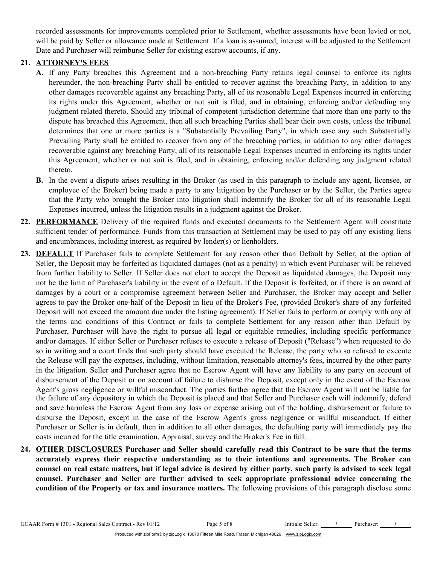recorded assessments for improvements completed prior to Settlement, whether assessments have been levied or not, will be paid by Seller or allowance made at Settlement. If a loan is assumed, interest will be adjusted to the Settlement Date and Purchaser will reimburse Seller for existing escrow accounts, if any.

## **21. ATTORNEY'S FEES**

- **A.** If any Party breaches this Agreement and a non-breaching Party retains legal counsel to enforce its rights hereunder, the non-breaching Party shall be entitled to recover against the breaching Party, in addition to any other damages recoverable against any breaching Party, all of its reasonable Legal Expenses incurred in enforcing its rights under this Agreement, whether or not suit is filed, and in obtaining, enforcing and/or defending any judgment related thereto. Should any tribunal of competent jurisdiction determine that more than one party to the dispute has breached this Agreement, then all such breaching Parties shall bear their own costs, unless the tribunal determines that one or more parties is a "Substantially Prevailing Party", in which case any such Substantially Prevailing Party shall be entitled to recover from any of the breaching parties, in addition to any other damages recoverable against any breaching Party, all of its reasonable Legal Expenses incurred in enforcing its rights under this Agreement, whether or not suit is filed, and in obtaining, enforcing and/or defending any judgment related thereto.
- **B.** In the event a dispute arises resulting in the Broker (as used in this paragraph to include any agent, licensee, or employee of the Broker) being made a party to any litigation by the Purchaser or by the Seller, the Parties agree that the Party who brought the Broker into litigation shall indemnify the Broker for all of its reasonable Legal Expenses incurred, unless the litigation results in a judgment against the Broker.
- **22. PERFORMANCE** Delivery of the required funds and executed documents to the Settlement Agent will constitute sufficient tender of performance. Funds from this transaction at Settlement may be used to pay off any existing liens and encumbrances, including interest, as required by lender(s) or lienholders.
- **23. DEFAULT** If Purchaser fails to complete Settlement for any reason other than Default by Seller, at the option of Seller, the Deposit may be forfeited as liquidated damages (not as a penalty) in which event Purchaser will be relieved from further liability to Seller. If Seller does not elect to accept the Deposit as liquidated damages, the Deposit may not be the limit of Purchaser's liability in the event of a Default. If the Deposit is forfeited, or if there is an award of damages by a court or a compromise agreement between Seller and Purchaser, the Broker may accept and Seller agrees to pay the Broker one-half of the Deposit in lieu of the Broker's Fee, (provided Broker's share of any forfeited Deposit will not exceed the amount due under the listing agreement). If Seller fails to perform or comply with any of the terms and conditions of this Contract or fails to complete Settlement for any reason other than Default by Purchaser, Purchaser will have the right to pursue all legal or equitable remedies, including specific performance and/or damages. If either Seller or Purchaser refuses to execute a release of Deposit ("Release") when requested to do so in writing and a court finds that such party should have executed the Release, the party who so refused to execute the Release will pay the expenses, including, without limitation, reasonable attorney's fees, incurred by the other party in the litigation. Seller and Purchaser agree that no Escrow Agent will have any liability to any party on account of disbursement of the Deposit or on account of failure to disburse the Deposit, except only in the event of the Escrow Agent's gross negligence or willful misconduct. The parties further agree that the Escrow Agent will not be liable for the failure of any depository in which the Deposit is placed and that Seller and Purchaser each will indemnify, defend and save harmless the Escrow Agent from any loss or expense arising out of the holding, disbursement or failure to disburse the Deposit, except in the case of the Escrow Agent's gross negligence or willful misconduct. If either Purchaser or Seller is in default, then in addition to all other damages, the defaulting party will immediately pay the costs incurred for the title examination, Appraisal, survey and the Broker's Fee in full.
- **24. OTHER DISCLOSURES Purchaser and Seller should carefully read this Contract to be sure that the terms accurately express their respective understanding as to their intentions and agreements. The Broker can counsel on real estate matters, but if legal advice is desired by either party, such party is advised to seek legal counsel. Purchaser and Seller are further advised to seek appropriate professional advice concerning the condition of the Property or tax and insurance matters.** The following provisions of this paragraph disclose some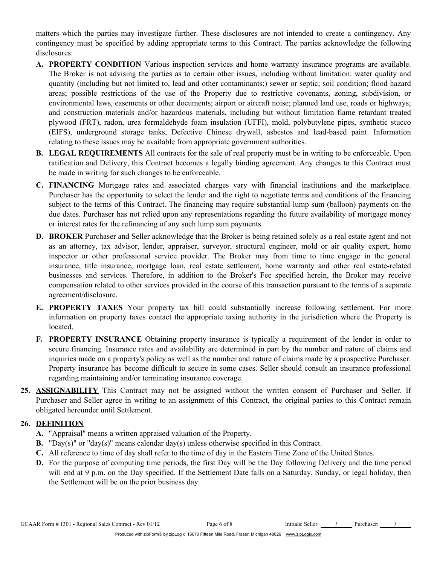matters which the parties may investigate further. These disclosures are not intended to create a contingency. Any contingency must be specified by adding appropriate terms to this Contract. The parties acknowledge the following disclosures:

- **A. PROPERTY CONDITION** Various inspection services and home warranty insurance programs are available. The Broker is not advising the parties as to certain other issues, including without limitation: water quality and quantity (including but not limited to, lead and other contaminants;) sewer or septic; soil condition; flood hazard areas; possible restrictions of the use of the Property due to restrictive covenants, zoning, subdivision, or environmental laws, easements or other documents; airport or aircraft noise; planned land use, roads or highways; and construction materials and/or hazardous materials, including but without limitation flame retardant treated plywood (FRT), radon, urea formaldehyde foam insulation (UFFI), mold, polybutylene pipes, synthetic stucco (EIFS), underground storage tanks, Defective Chinese drywall, asbestos and lead-based paint. Information relating to these issues may be available from appropriate government authorities.
- **B. LEGAL REQUIREMENTS** All contracts for the sale of real property must be in writing to be enforceable. Upon ratification and Delivery, this Contract becomes a legally binding agreement. Any changes to this Contract must be made in writing for such changes to be enforceable.
- **C. FINANCING** Mortgage rates and associated charges vary with financial institutions and the marketplace. Purchaser has the opportunity to select the lender and the right to negotiate terms and conditions of the financing subject to the terms of this Contract. The financing may require substantial lump sum (balloon) payments on the due dates. Purchaser has not relied upon any representations regarding the future availability of mortgage money or interest rates for the refinancing of any such lump sum payments.
- **D. BROKER** Purchaser and Seller acknowledge that the Broker is being retained solely as a real estate agent and not as an attorney, tax advisor, lender, appraiser, surveyor, structural engineer, mold or air quality expert, home inspector or other professional service provider. The Broker may from time to time engage in the general insurance, title insurance, mortgage loan, real estate settlement, home warranty and other real estate-related businesses and services. Therefore, in addition to the Broker's Fee specified herein, the Broker may receive compensation related to other services provided in the course of this transaction pursuant to the terms of a separate agreement/disclosure.
- **E. PROPERTY TAXES** Your property tax bill could substantially increase following settlement. For more information on property taxes contact the appropriate taxing authority in the jurisdiction where the Property is located.
- **F. PROPERTY INSURANCE** Obtaining property insurance is typically a requirement of the lender in order to secure financing. Insurance rates and availability are determined in part by the number and nature of claims and inquiries made on a property's policy as well as the number and nature of claims made by a prospective Purchaser. Property insurance has become difficult to secure in some cases. Seller should consult an insurance professional regarding maintaining and/or terminating insurance coverage.
- **25. ASSIGNABILITY** This Contract may not be assigned without the written consent of Purchaser and Seller. If Purchaser and Seller agree in writing to an assignment of this Contract, the original parties to this Contract remain obligated hereunder until Settlement.

#### **26. DEFINITION**

- **A.** "Appraisal" means a written appraised valuation of the Property.
- **B.** "Day(s)" or "day(s)" means calendar day(s) unless otherwise specified in this Contract.
- **C.** All reference to time of day shall refer to the time of day in the Eastern Time Zone of the United States.
- **D.** For the purpose of computing time periods, the first Day will be the Day following Delivery and the time period will end at 9 p.m. on the Day specified. If the Settlement Date falls on a Saturday, Sunday, or legal holiday, then the Settlement will be on the prior business day.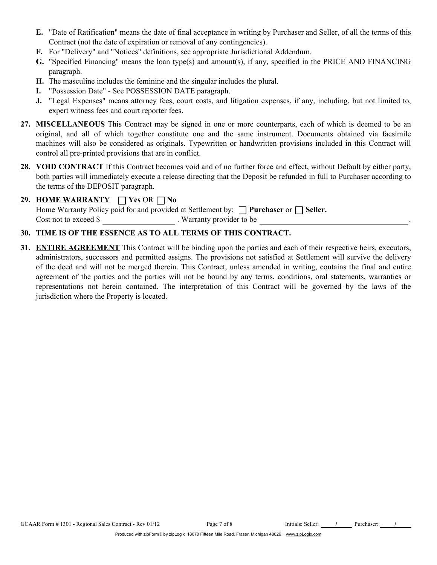- **E.** "Date of Ratification" means the date of final acceptance in writing by Purchaser and Seller, of all the terms of this Contract (not the date of expiration or removal of any contingencies).
- **F.** For "Delivery" and "Notices" definitions, see appropriate Jurisdictional Addendum.
- **G.** "Specified Financing" means the loan type(s) and amount(s), if any, specified in the PRICE AND FINANCING paragraph.
- **H.** The masculine includes the feminine and the singular includes the plural.
- **I.** "Possession Date" See POSSESSION DATE paragraph.
- **J.** "Legal Expenses" means attorney fees, court costs, and litigation expenses, if any, including, but not limited to, expert witness fees and court reporter fees.
- **27. MISCELLANEOUS** This Contract may be signed in one or more counterparts, each of which is deemed to be an original, and all of which together constitute one and the same instrument. Documents obtained via facsimile machines will also be considered as originals. Typewritten or handwritten provisions included in this Contract will control all pre-printed provisions that are in conflict.
- **28. VOID CONTRACT** If this Contract becomes void and of no further force and effect, without Default by either party, both parties will immediately execute a release directing that the Deposit be refunded in full to Purchaser according to the terms of the DEPOSIT paragraph.

# **29. HOME WARRANTY**  $\Box$  Yes OR  $\Box$  No

Home Warranty Policy paid for and provided at Settlement by:  $\Box$  **Purchaser** or  $\Box$  **Seller.** Cost not to exceed \$ . Warranty provider to be .

## **30. TIME IS OF THE ESSENCE AS TO ALL TERMS OF THIS CONTRACT.**

**31. ENTIRE AGREEMENT** This Contract will be binding upon the parties and each of their respective heirs, executors, administrators, successors and permitted assigns. The provisions not satisfied at Settlement will survive the delivery of the deed and will not be merged therein. This Contract, unless amended in writing, contains the final and entire agreement of the parties and the parties will not be bound by any terms, conditions, oral statements, warranties or representations not herein contained. The interpretation of this Contract will be governed by the laws of the jurisdiction where the Property is located.